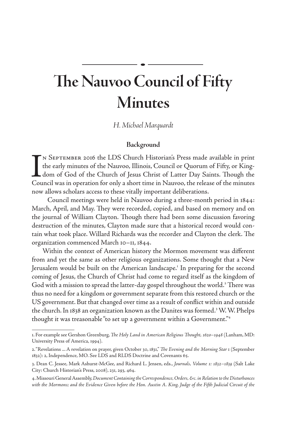# **The Nauvoo Council of Fifty Minutes**

*H. Michael Marquardt*

## **Background**

IN SEPTEMBER 2016 the LDS Church Historian's Press made available in print the early minutes of the Nauvoo, Illinois, Council or Quorum of Fifty, or Kingdom of God of the Church of Jesus Christ of Latter Day Saints. Though  $\mathsf{\Gamma}_{\mathsf{N}}$  September 2016 the LDS Church Historian's Press made available in print the early minutes of the Nauvoo, Illinois, Council or Quorum of Fifty, or Kingdom of God of the Church of Jesus Christ of Latter Day Saints. Though the now allows scholars access to these vitally important deliberations.

 Council meetings were held in Nauvoo during a three-month period in 1844: March, April, and May. They were recorded, copied, and based on memory and on the journal of William Clayton. Though there had been some discussion favoring destruction of the minutes, Clayton made sure that a historical record would contain what took place. Willard Richards was the recorder and Clayton the clerk. The organization commenced March 10–11, 1844.

Within the context of American history the Mormon movement was different from and yet the same as other religious organizations. Some thought that a New Jerusalem would be built on the American landscape.<sup>1</sup> In preparing for the second coming of Jesus, the Church of Christ had come to regard itself as the kingdom of God with a mission to spread the latter-day gospel throughout the world.<sup>2</sup> There was thus no need for a kingdom or government separate from this restored church or the US government. But that changed over time as a result of conflict within and outside the church. In 1838 an organization known as the Danites was formed.<sup>3</sup> W. W. Phelps thought it was treasonable "to set up a government within a Government."4

<sup>1.</sup> For example see Gershon Greenburg, *The Holy Land in American Religious Thought, 1620–1948* (Lanham, MD: University Press of America, 1994).

<sup>2. &</sup>quot;Revelations ... A revelation on prayer, given October 30, 1831," *The Evening and the Morning Star* 1 (September 1832): 2, Independence, MO. See LDS and RLDS Doctrine and Covenants 65.

<sup>3.</sup> Dean C. Jessee, Mark Ashurst-McGee, and Richard L. Jensen, eds., *Journals, Volume 1: 1832–1839* (Salt Lake City: Church Historian's Press, 2008), 231, 293, 464.

<sup>4.</sup> Missouri General Assembly, *Document Containing the Correspondence, Orders, &c. in Relation to the Disturbances with the Mormons; and the Evidence Given before the Hon. Austin A. King, Judge of the Fifth Judicial Circuit of the*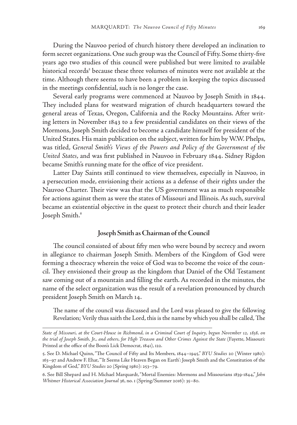During the Nauvoo period of church history there developed an inclination to form secret organizations. One such group was the Council of Fifty. Some thirty-five years ago two studies of this council were published but were limited to available historical records<sup>5</sup> because these three volumes of minutes were not available at the time. Although there seems to have been a problem in keeping the topics discussed in the meetings confidential, such is no longer the case.

Several early programs were commenced at Nauvoo by Joseph Smith in 1844. They included plans for westward migration of church headquarters toward the general areas of Texas, Oregon, California and the Rocky Mountains. After writing letters in November 1843 to a few presidential candidates on their views of the Mormons, Joseph Smith decided to become a candidate himself for president of the United States. His main publication on the subject, written for him by W.W. Phelps, was titled, *General Smith's Views of the Powers and Policy of the Government of the United States*, and was first published in Nauvoo in February 1844. Sidney Rigdon became Smith's running mate for the office of vice president.

Latter Day Saints still continued to view themselves, especially in Nauvoo, in a persecution mode, envisioning their actions as a defense of their rights under the Nauvoo Charter. Their view was that the US government was as much responsible for actions against them as were the states of Missouri and Illinois. As such, survival became an existential objective in the quest to protect their church and their leader Joseph Smith.<sup>6</sup>

### **Joseph Smith as Chairman of the Council**

The council consisted of about fifty men who were bound by secrecy and sworn in allegiance to chairman Joseph Smith. Members of the Kingdom of God were forming a theocracy wherein the voice of God was to become the voice of the council. They envisioned their group as the kingdom that Daniel of the Old Testament saw coming out of a mountain and filling the earth. As recorded in the minutes, the name of the select organization was the result of a revelation pronounced by church president Joseph Smith on March 14.

The name of the council was discussed and the Lord was pleased to give the following Revelation; Verily thus saith the Lord, this is the name by which you shall be called, The

*State of Missouri, at the Court-House in Richmond, in a Criminal Court of Inquiry, begun November 12, 1838, on the trial of Joseph Smith, Jr., and others, for High Treason and Other Crimes Against the State* (Fayette, Missouri: Printed at the office of the Boon's Lick Democrat, 1841), 122.

<sup>5.</sup> See D. Michael Quinn, "The Council of Fifty and Its Members, 1844–1945," *BYU Studies* 20 (Winter 1980): 163–97 and Andrew F. Ehat, "'It Seems Like Heaven Began on Earth': Joseph Smith and the Constitution of the Kingdom of God," *BYU Studies* 20 (Spring 1980): 253–79.

<sup>6.</sup> See Bill Shepard and H. Michael Marquardt, "Mortal Enemies: Mormons and Missourians 1839-1844," *John Whitmer Historical Association Journal* 36, no. 1 (Spring/Summer 2016): 35–80.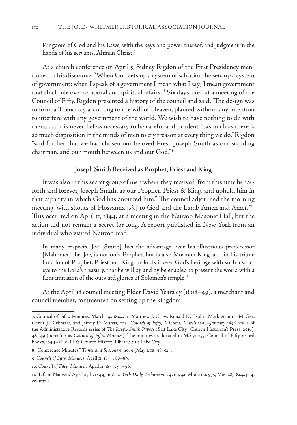Kingdom of God and his Laws, with the keys and power thereof, and judgment in the hands of his servants. Ahman Christ.7

At a church conference on April 5, Sidney Rigdon of the First Presidency mentioned in his discourse: "When God sets up a system of salvation, he sets up a system of government; when I speak of a government I mean what I say; I mean government that shall rule over temporal and spiritual affairs."8 Six days later, at a meeting of the Council of Fifty, Rigdon presented a history of the council and said, "The design was to form a Theocracy according to the will of Heaven, planted without any intention to interfere with any government of the world. We wish to have nothing to do with them. . . . It is nevertheless necessary to be careful and prudent inasmuch as there is so much disposition in the minds of men to cry treason at every thing we do." Rigdon "said further that we had chosen our beloved Prest. Joseph Smith as our standing chairman, and our mouth between us and our God."<sup>9</sup>

### **Joseph Smith Received as Prophet, Priest and King**

It was also in this secret group of men where they received "from this time henceforth and forever, Joseph Smith, as our Prophet, Priest & King, and uphold him in that capacity in which God has anointed him." The council adjourned the morning meeting "with shouts of Hossanna [*sic*] to God and the Lamb Amen and Amen."10 This occurred on April 11, 1844, at a meeting in the Nauvoo Masonic Hall, but the action did not remain a secret for long. A report published in New York from an individual who visited Nauvoo read:

In many respects, Joe [Smith] has the advantage over his illustrious predecessor [Mahomet]: he, Joe, is not only Prophet, but is also Mormon King, and in his triune function of Prophet, Priest and King, he lords it over God's heritage with such a strict eye to the Lord's treasury, that he will by and by be enabled to present the world with a faint imitation of the outward glories of Solomon's temple.<sup>11</sup>

At the April 18 council meeting Elder David Yearsley (1808–49), a merchant and council member, commented on setting up the kingdom:

<sup>7.</sup> Council of Fifty, Minutes, March 14, 1844, in Matthew J. Grow, Ronald K. Esplin, Mark Ashurst-McGee, Gerrit J. Dirkmaat, and Jeffrey D. Mahas, eds., *Council of Fifty, Minutes, March 1844–January 1846*, vol. 1 of the Administrative Records series of *The Joseph Smith Papers* (Salt Lake City: Church Historian's Press, 2016), 48–49 (hereafter as *Council of Fifty, Minutes*). The minutes are located in MS 30055, Council of Fifty record books, 1844–1846, LDS Church History Library, Salt Lake City.

<sup>8. &</sup>quot;Conference Minutes," *Times and Seasons* 5, no. 9 (May 1, 1844): 524.

<sup>9.</sup> *Council of Fifty, Minutes,* April 11, 1844, 88–89.

<sup>10.</sup> *Council of Fifty, Minutes,* April 11, 1844, 95–96.

<sup>11. &</sup>quot;Life in Nauvoo," April 25th, 1844, in *New-York Daily Tribune* vol. 4, no. 41, whole no. 975, May 28, 1844, p. 4, column 1.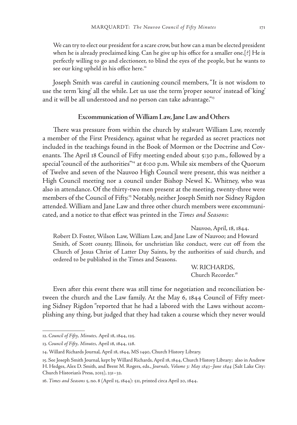We can try to elect our president for a scare crow, but how can a man be elected president when he is already proclaimed king. Can he give up his office for a smaller one.[?] He is perfectly willing to go and electioneer, to blind the eyes of the people, but he wants to see our king upheld in his office here.<sup>12</sup>

Joseph Smith was careful in cautioning council members, "It is not wisdom to use the term 'king' all the while. Let us use the term 'proper source' instead of 'king' and it will be all understood and no person can take advantage."<sup>13</sup>

#### **Excommunication of William Law, Jane Law and Others**

There was pressure from within the church by stalwart William Law, recently a member of the First Presidency, against what he regarded as secret practices not included in the teachings found in the Book of Mormon or the Doctrine and Covenants. The April 18 Council of Fifty meeting ended about 5:30 p.m., followed by a special "council of the authorities"<sup>14</sup> at 6:00 p.m. While six members of the Quorum of Twelve and seven of the Nauvoo High Council were present, this was neither a High Council meeting nor a council under Bishop Newel K. Whitney, who was also in attendance. Of the thirty-two men present at the meeting, twenty-three were members of the Council of Fifty.<sup>15</sup> Notably, neither Joseph Smith nor Sidney Rigdon attended. William and Jane Law and three other church members were excommunicated, and a notice to that effect was printed in the *Times and Seasons*:

Nauvoo, April, 18, 1844.

Robert D. Foster, Wilson Law, William Law, and Jane Law of Nauvoo; and Howard Smith, of Scott county, Illinois, for unchristian like conduct, were cut off from the Church of Jesus Christ of Latter Day Saints, by the authorities of said church, and ordered to be published in the Times and Seasons.

> W. RICHARDS, Church Recorder.<sup>16</sup>

Even after this event there was still time for negotiation and reconciliation between the church and the Law family. At the May 6, 1844 Council of Fifty meeting Sidney Rigdon "reported that he had a labored with the Laws without accomplishing any thing, but judged that they had taken a course which they never would

<sup>12.</sup> *Council of Fifty, Minutes,* April 18, 1844, 125.

<sup>13.</sup> *Council of Fifty, Minutes,* April 18, 1844, 128.

<sup>14.</sup> Willard Richards Journal, April 18, 1844, MS 1490, Church History Library.

<sup>15.</sup> See Joseph Smith Journal, kept by Willard Richards, April 18, 1844, Church History Library; also in Andrew H. Hedges, Alex D. Smith, and Brent M. Rogers, eds., *Journals, Volume 3: May 1843–June 1844* (Salt Lake City: Church Historian's Press, 2015), 231–32.

<sup>16.</sup> *Times and Seasons* 5, no. 8 (April 15, 1844): 511, printed circa April 20, 1844.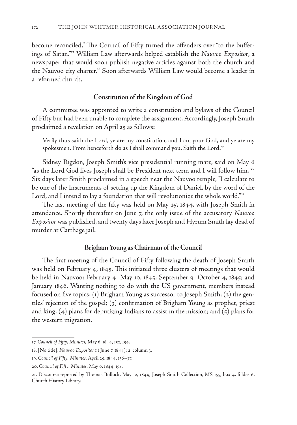become reconciled." The Council of Fifty turned the offenders over "to the buffetings of Satan."17 William Law afterwards helped establish the *Nauvoo Expositor*, a newspaper that would soon publish negative articles against both the church and the Nauvoo city charter.<sup>18</sup> Soon afterwards William Law would become a leader in a reformed church.

## **Constitution of the Kingdom of God**

A committee was appointed to write a constitution and bylaws of the Council of Fifty but had been unable to complete the assignment. Accordingly, Joseph Smith proclaimed a revelation on April 25 as follows:

Verily thus saith the Lord, ye are my constitution, and I am your God, and ye are my spokesmen. From henceforth do as I shall command you. Saith the Lord.<sup>19</sup>

Sidney Rigdon, Joseph Smith's vice presidential running mate, said on May 6 "as the Lord God lives Joseph shall be President next term and I will follow him."20 Six days later Smith proclaimed in a speech near the Nauvoo temple, "I calculate to be one of the Instruments of setting up the Kingdom of Daniel, by the word of the Lord, and I intend to lay a foundation that will revolutionize the whole world."<sup>21</sup>

The last meeting of the fifty was held on May 25, 1844, with Joseph Smith in attendance. Shortly thereafter on June 7, the only issue of the accusatory *Nauvoo Expositor* was published, and twenty days later Joseph and Hyrum Smith lay dead of murder at Carthage jail.

#### **Brigham Young as Chairman of the Council**

The first meeting of the Council of Fifty following the death of Joseph Smith was held on February 4, 1845. This initiated three clusters of meetings that would be held in Nauvoo: February 4–May 10, 1845; September 9–October 4, 1845; and January 1846. Wanting nothing to do with the US government, members instead focused on five topics: (1) Brigham Young as successor to Joseph Smith; (2) the gentiles' rejection of the gospel; (3) confirmation of Brigham Young as prophet, priest and king; (4) plans for deputizing Indians to assist in the mission; and (5) plans for the western migration.

<sup>17.</sup> *Council of Fifty, Minutes,* May 6, 1844, 152, 154.

<sup>18. [</sup>No title], *Nauvoo Expositor* 1 ( June 7, 1844): 2, column 3.

<sup>19.</sup> *Council of Fifty, Minutes,* April 25, 1844, 136–37.

<sup>20.</sup> *Council of Fifty, Minutes,* May 6, 1844, 158.

<sup>21.</sup> Discourse reported by Thomas Bullock, May 12, 1844, Joseph Smith Collection, MS 155, box 4, folder 6, Church History Library.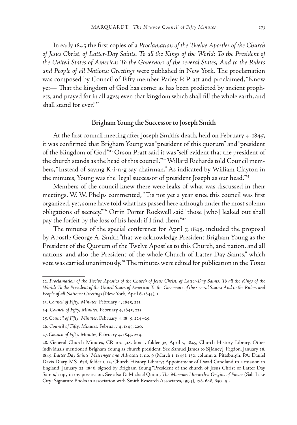In early 1845 the first copies of a *Proclamation of the Twelve Apostles of the Church of Jesus Christ, of Latter-Day Saints. To all the Kings of the World; To the President of the United States of America; To the Governors of the several States; And to the Rulers and People of all Nations: Greetings* were published in New York. The proclamation was composed by Council of Fifty member Parley P. Pratt and proclaimed, "Know ye:— That the kingdom of God has come: as has been predicted by ancient prophets, and prayed for in all ages; even that kingdom which shall fill the whole earth, and shall stand for ever."<sup>22</sup>

#### **Brigham Young the Successor to Joseph Smith**

At the first council meeting after Joseph Smith's death, held on February 4, 1845, it was confirmed that Brigham Young was "president of this quorum" and "president of the Kingdom of God."23 Orson Pratt said it was "self evident that the president of the church stands as the head of this council."24 Willard Richards told Council members, "Instead of saying K-i-n-g say chairman." As indicated by William Clayton in the minutes, Young was the "legal successor of president Joseph as our head."<sup>25</sup>

Members of the council knew there were leaks of what was discussed in their meetings. W. W. Phelps commented, "Tis not yet a year since this council was first organized, yet, some have told what has passed here although under the most solemn obligations of secrecy."26 Orrin Porter Rockwell said "those [who] leaked out shall pay the forfeit by the loss of his head; if I find them."<sup>27</sup>

The minutes of the special conference for April 7, 1845, included the proposal by Apostle George A. Smith "that we acknowledge President Brigham Young as the President of the Quorum of the Twelve Apostles to this Church, and nation, and all nations, and also the President of the whole Church of Latter Day Saints," which vote was carried unanimously.<sup>28</sup> The minutes were edited for publication in the *Times* 

<sup>22.</sup> *Proclamation of the Twelve Apostles of the Church of Jesus Christ, of Latter-Day Saints. To all the Kings of the World; To the President of the United States of America; To the Governors of the several States; And to the Rulers and People of all Nations: Greetings* (New York, April 6, 1845), 1.

<sup>23.</sup> *Council of Fifty, Minutes,* February 4, 1845, 221.

<sup>24.</sup> *Council of Fifty, Minutes,* February 4, 1845, 223.

<sup>25.</sup> *Council of Fifty, Minutes,* February 4, 1845, 224–25.

<sup>26.</sup> *Council of Fifty, Minutes,* February 4, 1845, 220.

<sup>27.</sup> *Council of Fifty, Minutes,* February 4, 1845, 224.

<sup>28.</sup> General Church Minutes, CR 100 318, box 1, folder 32, April 7, 1845, Church History Library. Other individuals mentioned Brigham Young as church president. See Samuel James to S[idney]. Rigdon, January 28, 1845, *Latter Day Saints' Messenger and Advocate* 1, no. 9 (March 1, 1845): 130, column 2, Pittsburgh, PA; Daniel Davis Diary, MS 1676, folder 1, 12, Church History Library; Appointment of David Candland to a mission in England, January 22, 1846, signed by Brigham Young "President of the church of Jesus Christ of Latter Day Saints," copy in my possession. See also D. Michael Quinn, *The Mormon Hierarchy: Origins of Power* (Salt Lake City: Signature Books in association with Smith Research Associates, 1994), 178, 648, 650–51.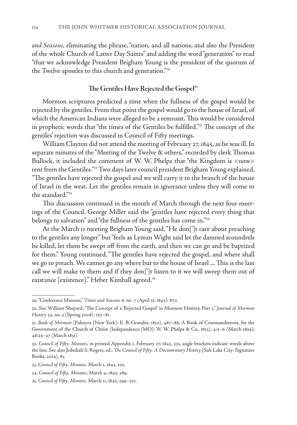*and Seasons*, eliminating the phrase, "nation, and all nations, and also the President of the whole Church of Latter Day Saints" and adding the word "generation" to read "that we acknowledge President Brigham Young is the president of the quorum of the Twelve apostles to this church and generation."<sup>29</sup>

## The Gentiles Have Rejected the Gospel<sup>30</sup>

Mormon scriptures predicted a time when the fullness of the gospel would be rejected by the gentiles. From that point the gospel would go to the house of Israel, of which the American Indians were alleged to be a remnant. This would be considered in prophetic words that "the times of the Gentiles be fulfilled."31 The concept of the gentiles' rejection was discussed in Council of Fifty meetings.

William Clayton did not attend the meeting of February 27, 1845, as he was ill. In separate minutes of the "Meeting of the Twelve & others," recorded by clerk Thomas Bullock, it included the comment of W. W. Phelps that "the Kingdom is <now> rent from the Gentiles."32 Two days later council president Brigham Young explained, "The gentiles have rejected the gospel and we will carry it to the branch of the house of Israel in the west. Let the gentiles remain in ignorance unless they will come to the standard."33

This discussion continued in the month of March through the next four meetings of the Council. George Miller said the "gentiles have rejected every thing that belongs to salvation" and "the fullness of the gentiles has come in."34

At the March 11 meeting Brigham Young said, "He don[']t care about preaching to the gentiles any longer" but "feels as Lyman Wight said let the damned scoundrels be killed, let them be swept off from the earth, and then we can go and be baptized for them." Young continued, "The gentiles have rejected the gospel, and where shall we go to preach. We cannot go any where but to the house of Israel ... This is the last call we will make to them and if they don[']t listen to it we will sweep them out of existance [existence]." Heber Kimball agreed.<sup>35</sup>

<sup>29. &</sup>quot;Conference Minutes," *Times and Seasons* 6, no. 7 (April 15, 1845): 870.

<sup>30.</sup> See William Shepard, "The Concept of a 'Rejected Gospel' in Mormon History, Part 1," *Journal of Mormon History* 34, no. 2 (Spring 2008): 130–81.

<sup>31.</sup> *Book of Mormon* (Palmyra [New York]: E. B. Grandin, 1830), 487–88; A Book of Commandments, for the Government of the Church of Christ (Independence [MO]: W. W. Phelps & Co., 1833), 4:5–6 (March 1829); 48:25–27 (March 1831).

<sup>32.</sup> *Council of Fifty, Minutes,* in printed Appendix 1, February 27, 1845, 533, angle brackets indicate words above the line. See also Jedediah S. Rogers, ed., *The Council of Fifty: A Documentary History* (Salt Lake City: Signature Books, 2014), 83.

<sup>33.</sup> *Council of Fifty, Minutes,* March 1, 1845, 255.

<sup>34.</sup> *Council of Fifty, Minutes,* March 4, 1845, 289.

<sup>35.</sup> *Council of Fifty, Minutes,* March 11, 1845, 299–301.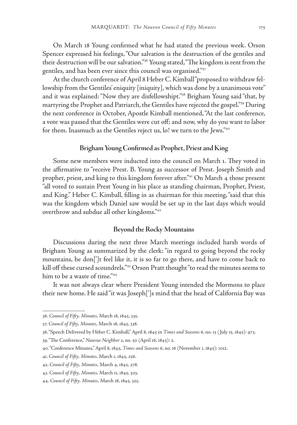On March 18 Young confirmed what he had stated the previous week. Orson Spencer expressed his feelings, "Our salvation is the destruction of the gentiles and their destruction will be our salvation."36 Young stated, "The kingdom is rent from the gentiles, and has been ever since this council was organised."37

At the church conference of April 8 Heber C. Kimball "proposed to withdraw fellowship from the Gentiles' eniquity [iniquity], which was done by a unanimous vote" and it was explained: "Now they are disfellowshipt."38 Brigham Young said "that, by martyring the Prophet and Patriarch, the Gentiles have rejected the gospel."39 During the next conference in October, Apostle Kimball mentioned, "At the last conference, a vote was passed that the Gentiles were cut off; and now, why do you want to labor for them. Inasmuch as the Gentiles reject us, lo! we turn to the Jews."40

#### **Brigham Young Confirmed as Prophet, Priest and King**

Some new members were inducted into the council on March 1. They voted in the affirmative to "receive Prest. B. Young as successor of Prest. Joseph Smith and prophet, priest, and king to this kingdom forever after."41 On March 4 those present "all voted to sustain Prest Young in his place as standing chairman, Prophet, Priest, and King." Heber C. Kimball, filling in as chairman for this meeting, "said that this was the kingdom which Daniel saw would be set up in the last days which would overthrow and subdue all other kingdoms."42

#### **Beyond the Rocky Mountains**

Discussions during the next three March meetings included harsh words of Brigham Young as summarized by the clerk: "in regard to going beyond the rocky mountains, he don[']t feel like it, it is so far to go there, and have to come back to kill off these cursed scoundrels."43 Orson Pratt thought "to read the minutes seems to him to be a waste of time."44

It was not always clear where President Young intended the Mormons to place their new home. He said "it was Joseph[']s mind that the head of California Bay was

<sup>36.</sup> *Council of Fifty, Minutes,* March 18, 1845, 335.

<sup>37.</sup> *Council of Fifty, Minutes,* March 18, 1845, 338.

<sup>38. &</sup>quot;Speech Delivered by Heber C. Kimball," April 8, 1845 in *Times and Seasons* 6, no. 13 ( July 15, 1845): 973.

<sup>39. &</sup>quot;The Conference," *Nauvoo Neighbor* 2, no. 50 (April 16, 1845): 2.

<sup>40. &</sup>quot;Conference Minutes," April 8, 1845, *Times and Seasons* 6, no. 16 (November 1, 1845): 1012.

<sup>41.</sup> *Council of Fifty, Minutes,* March 1, 1845, 256.

<sup>42.</sup> *Council of Fifty, Minutes,* March 4, 1845, 278.

<sup>43.</sup> *Council of Fifty, Minutes,* March 11, 1845, 303.

<sup>44.</sup> *Council of Fifty, Minutes,* March 18, 1845, 325.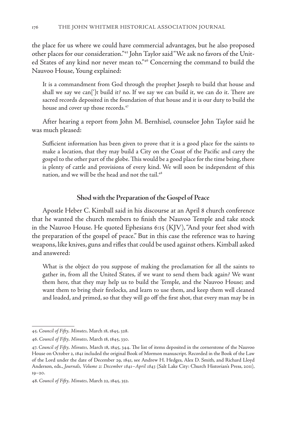the place for us where we could have commercial advantages, but he also proposed other places for our consideration."45 John Taylor said "We ask no favors of the United States of any kind nor never mean to."46 Concerning the command to build the Nauvoo House, Young explained:

It is a commandment from God through the prophet Joseph to build that house and shall we say we can[']t build it? no. If we say we can build it, we can do it. There are sacred records deposited in the foundation of that house and it is our duty to build the house and cover up those records.<sup>47</sup>

After hearing a report from John M. Bernhisel, counselor John Taylor said he was much pleased:

Sufficient information has been given to prove that it is a good place for the saints to make a location, that they may build a City on the Coast of the Pacific and carry the gospel to the other part of the globe. This would be a good place for the time being, there is plenty of cattle and provisions of every kind. We will soon be independent of this nation, and we will be the head and not the tail.<sup>48</sup>

### **Shod with the Preparation of the Gospel of Peace**

Apostle Heber C. Kimball said in his discourse at an April 8 church conference that he wanted the church members to finish the Nauvoo Temple and take stock in the Nauvoo House. He quoted Ephesians 6:15 (KJV), "And your feet shod with the preparation of the gospel of peace." But in this case the reference was to having weapons, like knives, guns and rifles that could be used against others. Kimball asked and answered:

What is the object do you suppose of making the proclamation for all the saints to gather in, from all the United States, if we want to send them back again? We want them here, that they may help us to build the Temple, and the Nauvoo House; and want them to bring their firelocks, and learn to use them, and keep them well cleaned and loaded, and primed, so that they will go off the first shot, that every man may be in

<sup>45.</sup> *Council of Fifty, Minutes,* March 18, 1845, 328.

<sup>46.</sup> *Council of Fifty, Minutes,* March 18, 1845, 330.

<sup>47.</sup> *Council of Fifty, Minutes,* March 18, 1845, 344. The list of items deposited in the cornerstone of the Nauvoo House on October 2, 1841 included the original Book of Mormon manuscript. Recorded in the Book of the Law of the Lord under the date of December 29, 1841, see Andrew H. Hedges, Alex D. Smith, and Richard Lloyd Anderson, eds., *Journals, Volume 2: December 1841–April 1843* (Salt Lake City: Church Historian's Press, 2011), 19–20.

<sup>48.</sup> *Council of Fifty, Minutes,* March 22, 1845, 352.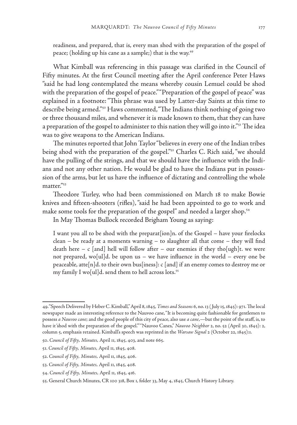readiness, and prepared, that is, every man shod with the preparation of the gospel of peace; (holding up his cane as a sample;) that is the way.<sup>49</sup>

What Kimball was referencing in this passage was clarified in the Council of Fifty minutes. At the first Council meeting after the April conference Peter Haws "said he had long contemplated the means whereby cousin Lemuel could be shod with the preparation of the gospel of peace." "Preparation of the gospel of peace" was explained in a footnote: "This phrase was used by Latter-day Saints at this time to describe being armed."50 Haws commented, "The Indians think nothing of going two or three thousand miles, and whenever it is made known to them, that they can have a preparation of the gospel to administer to this nation they will go into it."<sup>51</sup> The idea was to give weapons to the American Indians.

The minutes reported that John Taylor "believes in every one of the Indian tribes being shod with the preparation of the gospel."<sup>52</sup> Charles C. Rich said, "we should have the pulling of the strings, and that we should have the influence with the Indians and not any other nation. He would be glad to have the Indians put in possession of the arms, but let us have the influence of dictating and controlling the whole matter."53

Theodore Turley, who had been commissioned on March 18 to make Bowie knives and fifteen-shooters (rifles), "said he had been appointed to go to work and make some tools for the preparation of the gospel" and needed a larger shop.<sup>54</sup>

In May Thomas Bullock recorded Brigham Young as saying:

I want you all to be shod with the preparat[ion]n. of the Gospel – have your firelocks clean – be ready at a moments warning – to slaughter all that come – they will find death here – c [and] hell will follow after – our enemies if they tho[ugh]t. we were not prepared, wo[ul]d. be upon us – we have influence in the world – every one be peaceable, atte[n]d. to their own bus[iness]: c [and] if an enemy comes to destroy me or my family I wo[ul]d. send them to hell across lots.<sup>55</sup>

<sup>49. &</sup>quot;Speech Delivered by Heber C. Kimball," April 8, 1845, *Times and Seasons* 6, no. 13 ( July 15, 1845): 971. The local newspaper made an interesting reference to the Nauvoo cane, "It is becoming quite fashionable for gentlemen to possess *a Nauvoo cane*; and the good people of this city of peace, also use *a cane*,—but the point of the staff, is, to have it 'shod with the preparation of the gospel.'" "Nauvoo Canes," *Nauvoo Neighbor* 2, no. 52 (April 30, 1845): 2, column 5, emphasis retained. Kimball's speech was reprinted in the *Warsaw Signal* 2 (October 22, 1845):1.

<sup>50.</sup> *Council of Fifty, Minutes,* April 11, 1845, 403, and note 665.

<sup>51.</sup> *Council of Fifty, Minutes,* April 11, 1845, 408.

<sup>52.</sup> *Council of Fifty, Minutes,* April 11, 1845, 406.

<sup>53.</sup> *Council of Fifty, Minutes,* April 11, 1845, 408.

<sup>54.</sup> *Council of Fifty, Minutes,* April 11, 1845, 416.

<sup>55.</sup> General Church Minutes, CR 100 318, Box 1, folder 33, May 4, 1845, Church History Library.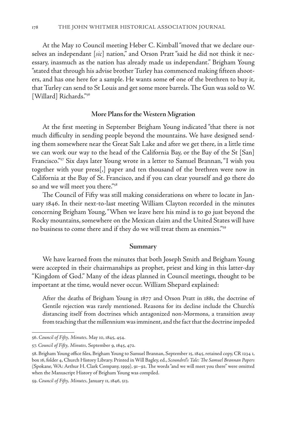At the May 10 Council meeting Heber C. Kimball "moved that we declare ourselves an independant [*sic*] nation," and Orson Pratt "said he did not think it necessary, inasmuch as the nation has already made us independant." Brigham Young "stated that through his advise brother Turley has commenced making fifteen shooters, and has one here for a sample. He wants some of one of the brethren to buy it, that Turley can send to St Louis and get some more barrels. The Gun was sold to W. [Willard] Richards."<sup>56</sup>

#### **More Plans for the Western Migration**

At the first meeting in September Brigham Young indicated "that there is not much difficulty in sending people beyond the mountains. We have designed sending them somewhere near the Great Salt Lake and after we get there, in a little time we can work our way to the head of the California Bay, or the Bay of the St [San] Francisco."57 Six days later Young wrote in a letter to Samuel Brannan, "I wish you together with your press[,] paper and ten thousand of the brethren were now in California at the Bay of St. Francisco, and if you can clear yourself and go there do so and we will meet you there."58

The Council of Fifty was still making considerations on where to locate in January 1846. In their next-to-last meeting William Clayton recorded in the minutes concerning Brigham Young, "When we leave here his mind is to go just beyond the Rocky mountains, somewhere on the Mexican claim and the United States will have no business to come there and if they do we will treat them as enemies."59

#### **Summary**

We have learned from the minutes that both Joseph Smith and Brigham Young were accepted in their chairmanships as prophet, priest and king in this latter-day "Kingdom of God." Many of the ideas planned in Council meetings, thought to be important at the time, would never occur. William Shepard explained:

After the deaths of Brigham Young in 1877 and Orson Pratt in 1881, the doctrine of Gentile rejection was rarely mentioned. Reasons for its decline include the Church's distancing itself from doctrines which antagonized non-Mormons, a transition away from teaching that the millennium was imminent, and the fact that the doctrine impeded

<sup>56.</sup> *Council of Fifty, Minutes,* May 10, 1845, 454.

<sup>57.</sup> *Council of Fifty, Minutes,* September 9, 1845, 472.

<sup>58.</sup> Brigham Young office files, Brigham Young to Samuel Brannan, September 15, 1845, retained copy, CR 1234 1, box 16, folder 4, Church History Library. Printed in Will Bagley, ed., *Scoundrel's Tale: The Samuel Brannan Papers* (Spokane, WA: Arthur H. Clark Company, 1999), 91–92. The words "and we will meet you there" were omitted when the Manuscript History of Brigham Young was compiled.

<sup>59.</sup> *Council of Fifty, Minutes,* January 11, 1846, 513.